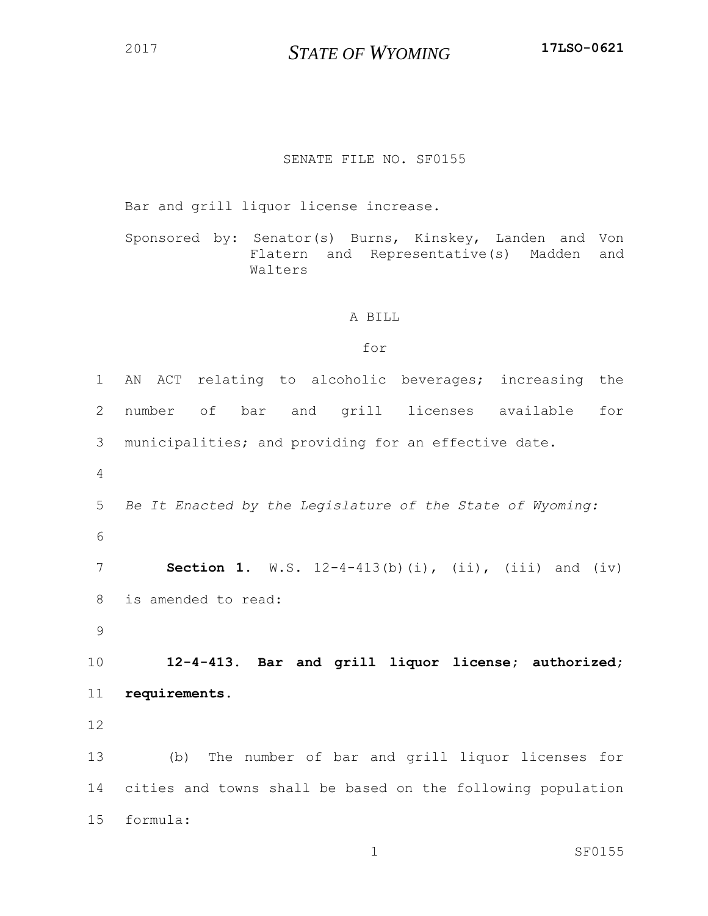*STATE OF WYOMING* **17LSO-0621**

## SENATE FILE NO. SF0155

Bar and grill liquor license increase.

Sponsored by: Senator(s) Burns, Kinskey, Landen and Von Flatern and Representative(s) Madden and Walters

## A BILL

## for

| 1  | AN ACT relating to alcoholic beverages; increasing the         |  |  |  |  |  |
|----|----------------------------------------------------------------|--|--|--|--|--|
| 2  | number of bar and grill licenses available<br>for              |  |  |  |  |  |
| 3  | municipalities; and providing for an effective date.           |  |  |  |  |  |
| 4  |                                                                |  |  |  |  |  |
| 5  | Be It Enacted by the Legislature of the State of Wyoming:      |  |  |  |  |  |
| 6  |                                                                |  |  |  |  |  |
| 7  | <b>Section 1.</b> W.S. $12-4-413(b)(i)$ , (ii), (iii) and (iv) |  |  |  |  |  |
| 8  | is amended to read:                                            |  |  |  |  |  |
| 9  |                                                                |  |  |  |  |  |
| 10 | 12-4-413. Bar and grill liquor license; authorized;            |  |  |  |  |  |
| 11 | requirements.                                                  |  |  |  |  |  |
| 12 |                                                                |  |  |  |  |  |
| 13 | The number of bar and grill liquor licenses for<br>(b)         |  |  |  |  |  |
| 14 | cities and towns shall be based on the following population    |  |  |  |  |  |
| 15 | formula:                                                       |  |  |  |  |  |

1 SF0155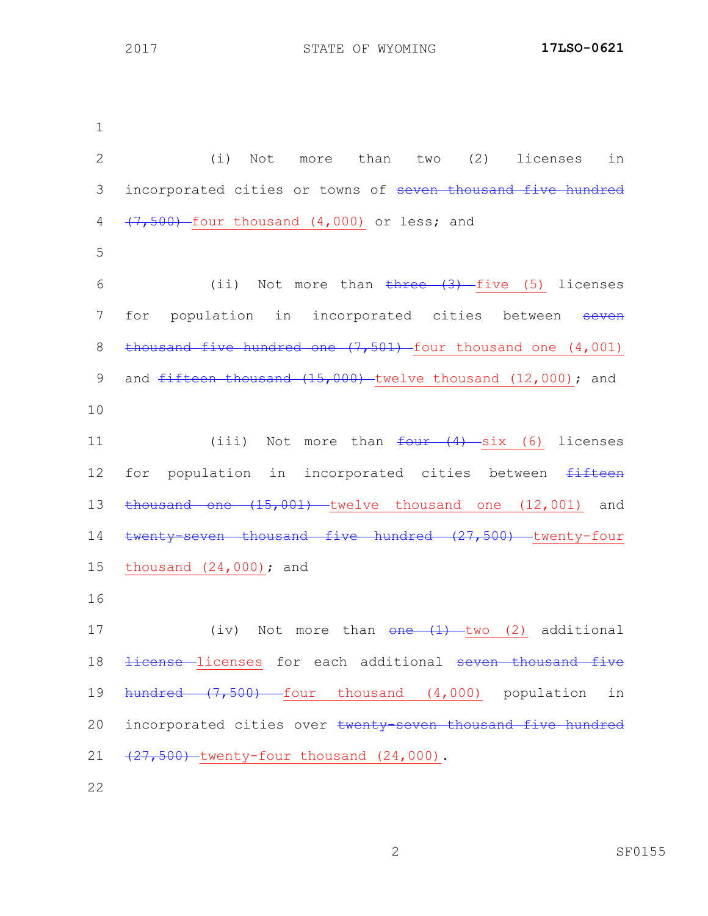2017 STATE OF WYOMING **17LSO-0621**

1 2 (i) Not more than two (2) licenses in 3 incorporated cities or towns of seven thousand five hundred  $4 + 7,500$  four thousand  $(4,000)$  or less; and 5 6 (ii) Not more than three (3) five (5) licenses 7 for population in incorporated cities between seven 8 thousand five hundred one  $(7,501)$  four thousand one  $(4,001)$ 9 and fifteen thousand (15,000) twelve thousand (12,000); and 10 11 (iii) Not more than  $\frac{four + (4) - six}{s}$  (6) licenses 12 for population in incorporated cities between fifteen 13 thousand one (15,001) twelve thousand one (12,001) and 14 twenty-seven thousand five hundred (27,500) twenty-four 15 thousand (24,000); and 16 17 (iv) Not more than  $\theta$ ne (1) two (2) additional 18 <del>license</del> licenses for each additional seven thousand five 19 hundred (7,500) four thousand (4,000) population in 20 incorporated cities over twenty-seven thousand five hundred 21 (27,500) twenty-four thousand (24,000).

22